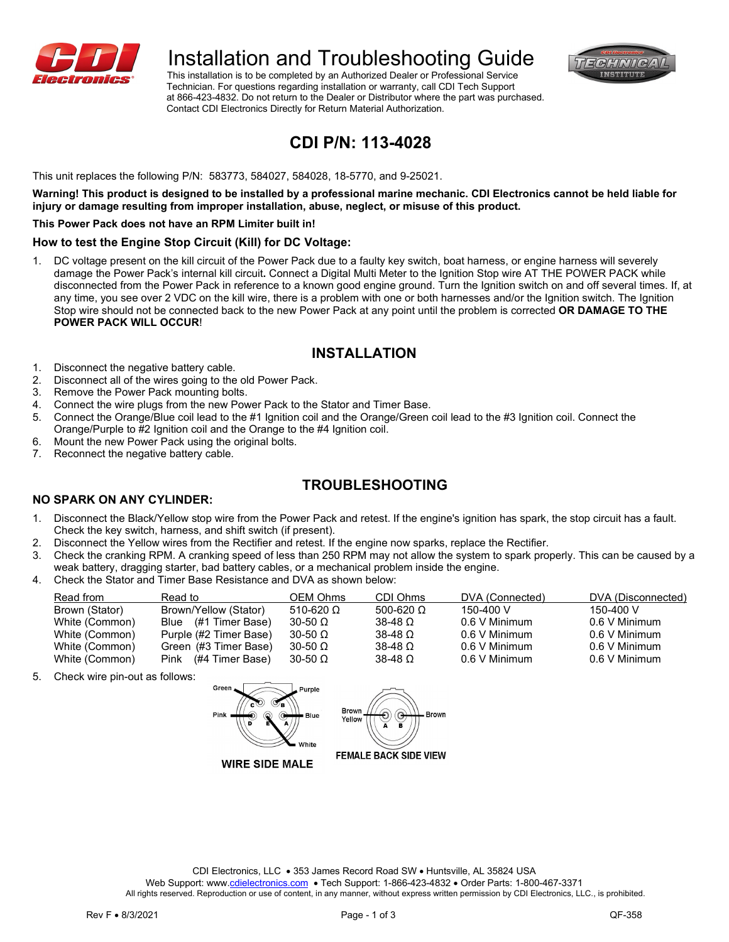

# Installation and Troubleshooting Guide

 This installation is to be completed by an Authorized Dealer or Professional Service Technician. For questions regarding installation or warranty, call CDI Tech Support at 866-423-4832. Do not return to the Dealer or Distributor where the part was purchased. Contact CDI Electronics Directly for Return Material Authorization.



### **CDI P/N: 113-4028**

This unit replaces the following P/N: 583773, 584027, 584028, 18-5770, and 9-25021.

**Warning! This product is designed to be installed by a professional marine mechanic. CDI Electronics cannot be held liable for injury or damage resulting from improper installation, abuse, neglect, or misuse of this product.**

#### **This Power Pack does not have an RPM Limiter built in!**

#### **How to test the Engine Stop Circuit (Kill) for DC Voltage:**

1. DC voltage present on the kill circuit of the Power Pack due to a faulty key switch, boat harness, or engine harness will severely damage the Power Pack's internal kill circuit**.** Connect a Digital Multi Meter to the Ignition Stop wire AT THE POWER PACK while disconnected from the Power Pack in reference to a known good engine ground. Turn the Ignition switch on and off several times. If, at any time, you see over 2 VDC on the kill wire, there is a problem with one or both harnesses and/or the Ignition switch. The Ignition Stop wire should not be connected back to the new Power Pack at any point until the problem is corrected **OR DAMAGE TO THE POWER PACK WILL OCCUR**!

### **INSTALLATION**

- 1. Disconnect the negative battery cable.
- 2. Disconnect all of the wires going to the old Power Pack.
- 3. Remove the Power Pack mounting bolts.
- 4. Connect the wire plugs from the new Power Pack to the Stator and Timer Base.
- 5. Connect the Orange/Blue coil lead to the #1 Ignition coil and the Orange/Green coil lead to the #3 Ignition coil. Connect the Orange/Purple to #2 Ignition coil and the Orange to the #4 Ignition coil.
- 6. Mount the new Power Pack using the original bolts.
- 7. Reconnect the negative battery cable.

### **TROUBLESHOOTING**

### **NO SPARK ON ANY CYLINDER:**

- 1. Disconnect the Black/Yellow stop wire from the Power Pack and retest. If the engine's ignition has spark, the stop circuit has a fault. Check the key switch, harness, and shift switch (if present).
- 2. Disconnect the Yellow wires from the Rectifier and retest. If the engine now sparks, replace the Rectifier.
- 3. Check the cranking RPM. A cranking speed of less than 250 RPM may not allow the system to spark properly. This can be caused by a weak battery, dragging starter, bad battery cables, or a mechanical problem inside the engine.
- 4. Check the Stator and Timer Base Resistance and DVA as shown below:

| Read from      | Read to                 | OEM Ohms         | CDI Ohms         | DVA (Connected) | DVA (Disconnected) |
|----------------|-------------------------|------------------|------------------|-----------------|--------------------|
| Brown (Stator) | Brown/Yellow (Stator)   | 510-620 $\Omega$ | 500-620 $\Omega$ | 150-400 V       | 150-400 V          |
| White (Common) | Blue (#1 Timer Base)    | $30-50$ Q        | $38-48$ Q        | 0.6 V Minimum   | 0.6 V Minimum      |
| White (Common) | Purple (#2 Timer Base)  | $30-50$ $\Omega$ | $38-48$ Q        | 0.6 V Minimum   | 0.6 V Minimum      |
| White (Common) | Green (#3 Timer Base)   | $30-50$ $\Omega$ | $38-48$ Q        | 0.6 V Minimum   | 0.6 V Minimum      |
| White (Common) | (#4 Timer Base)<br>Pink | $30-50$ $\Omega$ | $38-48$ Q        | 0.6 V Minimum   | 0.6 V Minimum      |

5. Check wire pin-out as follows:





**WIRE SIDE MALE** 

CDI Electronics, LLC • 353 James Record Road SW • Huntsville, AL 35824 USA

Web Support: www[.cdielectronics.com](http://www.cdielectronics.com/) • Tech Support: 1-866-423-4832 • Order Parts: 1-800-467-3371

All rights reserved. Reproduction or use of content, in any manner, without express written permission by CDI Electronics, LLC., is prohibited.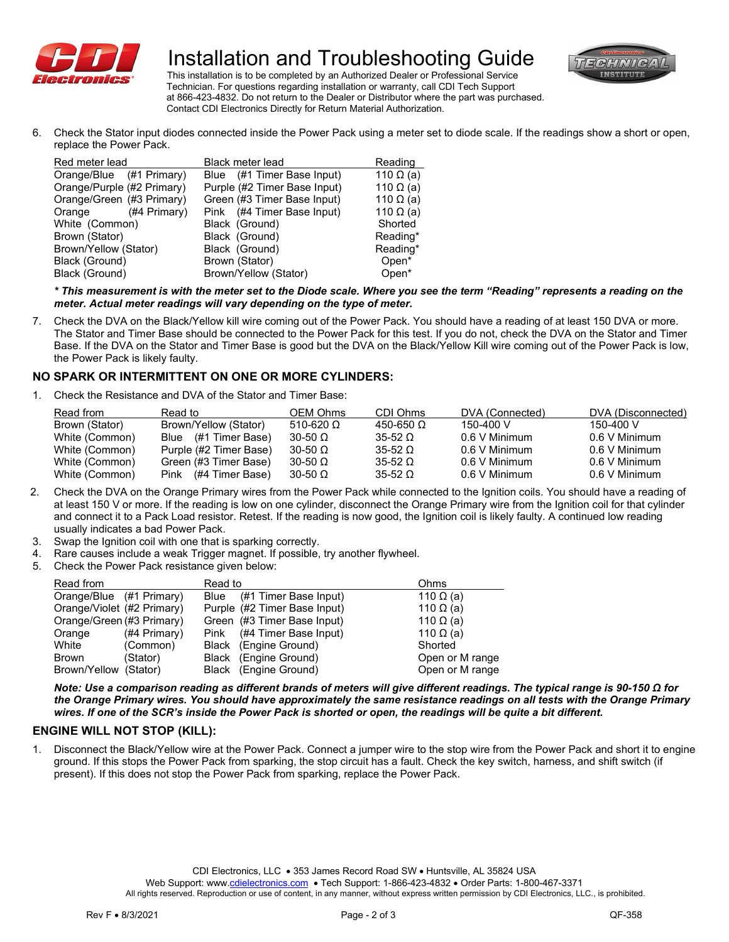

# Installation and Troubleshooting Guide



 This installation is to be completed by an Authorized Dealer or Professional Service Technician. For questions regarding installation or warranty, call CDI Tech Support at 866-423-4832. Do not return to the Dealer or Distributor where the part was purchased. Contact CDI Electronics Directly for Return Material Authorization.

6. Check the Stator input diodes connected inside the Power Pack using a meter set to diode scale. If the readings show a short or open, replace the Power Pack.

| Red meter lead             | Black meter lead             | Reading           |
|----------------------------|------------------------------|-------------------|
| Orange/Blue (#1 Primary)   | Blue (#1 Timer Base Input)   | 110 $\Omega$ (a)  |
| Orange/Purple (#2 Primary) | Purple (#2 Timer Base Input) | 110 $\Omega$ (a)  |
| Orange/Green (#3 Primary)  | Green (#3 Timer Base Input)  | 110 $\Omega$ (a)  |
| (#4 Primary)<br>Orange     | Pink (#4 Timer Base Input)   | 110 $\Omega$ (a)  |
| White (Common)             | Black (Ground)               | Shorted           |
| Brown (Stator)             | Black (Ground)               | Reading*          |
| Brown/Yellow (Stator)      | Black (Ground)               | Reading*          |
| Black (Ground)             | Brown (Stator)               | Open <sup>*</sup> |
| Black (Ground)             | Brown/Yellow (Stator)        | Open*             |

*\* This measurement is with the meter set to the Diode scale. Where you see the term "Reading" represents a reading on the meter. Actual meter readings will vary depending on the type of meter.*

7. Check the DVA on the Black/Yellow kill wire coming out of the Power Pack. You should have a reading of at least 150 DVA or more. The Stator and Timer Base should be connected to the Power Pack for this test. If you do not, check the DVA on the Stator and Timer Base. If the DVA on the Stator and Timer Base is good but the DVA on the Black/Yellow Kill wire coming out of the Power Pack is low, the Power Pack is likely faulty.

### **NO SPARK OR INTERMITTENT ON ONE OR MORE CYLINDERS:**

1. Check the Resistance and DVA of the Stator and Timer Base:

| Read from      | Read to                | OEM Ohms         | CDI Ohms         | DVA (Connected) | DVA (Disconnected) |
|----------------|------------------------|------------------|------------------|-----------------|--------------------|
| Brown (Stator) | Brown/Yellow (Stator)  | 510-620 $\Omega$ | 450-650 $\Omega$ | 150-400 V       | 150-400 V          |
| White (Common) | Blue (#1 Timer Base)   | $30-50$ $\Omega$ | $35-52$ Q        | 0.6 V Minimum   | 0.6 V Minimum      |
| White (Common) | Purple (#2 Timer Base) | $30-50$ $\Omega$ | $35-52$ Q        | 0.6 V Minimum   | 0.6 V Minimum      |
| White (Common) | Green (#3 Timer Base)  | $30-50$ $\Omega$ | $35-52$ Q        | 0.6 V Minimum   | 0.6 V Minimum      |
| White (Common) | Pink (#4 Timer Base)   | $30-50$ $\Omega$ | $35-52$ $\Omega$ | 0.6 V Minimum   | 0.6 V Minimum      |

- 2. Check the DVA on the Orange Primary wires from the Power Pack while connected to the Ignition coils. You should have a reading of at least 150 V or more. If the reading is low on one cylinder, disconnect the Orange Primary wire from the Ignition coil for that cylinder and connect it to a Pack Load resistor. Retest. If the reading is now good, the Ignition coil is likely faulty. A continued low reading usually indicates a bad Power Pack.
- 3. Swap the Ignition coil with one that is sparking correctly.
- 4. Rare causes include a weak Trigger magnet. If possible, try another flywheel.
- 5. Check the Power Pack resistance given below:

| Read from                  |              | Read to     |                              | Ohms             |
|----------------------------|--------------|-------------|------------------------------|------------------|
| Orange/Blue (#1 Primary)   |              | Blue        | (#1 Timer Base Input)        | 110 $\Omega$ (a) |
| Orange/Violet (#2 Primary) |              |             | Purple (#2 Timer Base Input) | 110 $\Omega$ (a) |
| Orange/Green (#3 Primary)  |              |             | Green (#3 Timer Base Input)  | 110 $\Omega$ (a) |
| Orange                     | (#4 Primary) | <b>Pink</b> | (#4 Timer Base Input)        | 110 $\Omega$ (a) |
| White                      | (Common)     |             | Black (Engine Ground)        | Shorted          |
| <b>Brown</b>               | (Stator)     |             | Black (Engine Ground)        | Open or M range  |
| Brown/Yellow (Stator)      |              |             | Black (Engine Ground)        | Open or M range  |

*Note: Use a comparison reading as different brands of meters will give different readings. The typical range is 90-150 Ω for the Orange Primary wires. You should have approximately the same resistance readings on all tests with the Orange Primary wires. If one of the SCR's inside the Power Pack is shorted or open, the readings will be quite a bit different.* 

### **ENGINE WILL NOT STOP (KILL):**

1. Disconnect the Black/Yellow wire at the Power Pack. Connect a jumper wire to the stop wire from the Power Pack and short it to engine ground. If this stops the Power Pack from sparking, the stop circuit has a fault. Check the key switch, harness, and shift switch (if present). If this does not stop the Power Pack from sparking, replace the Power Pack.